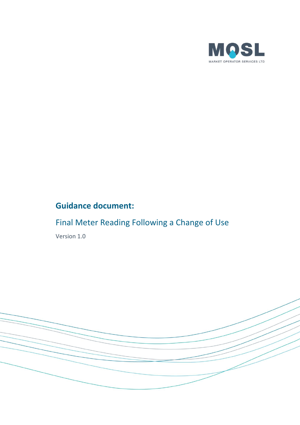

## **Guidance document:**

# Final Meter Reading Following a Change of Use

Version 1.0

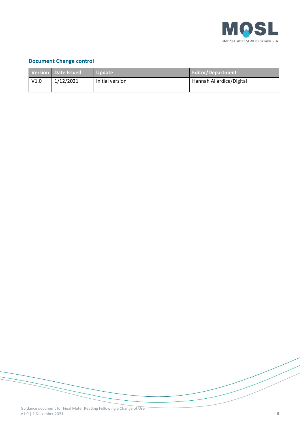

#### **Document Change control**

|      | Version Date Issued | Update          | Editor/Department        |
|------|---------------------|-----------------|--------------------------|
| V1.0 | 1/12/2021           | Initial version | Hannah Allardice/Digital |
|      |                     |                 |                          |

Guidance document for Final Meter Reading Following a Change of Use V1.0 | 1 December 2021 3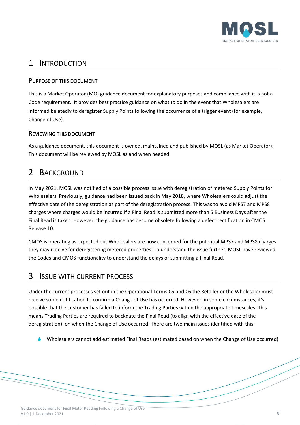

### 1 INTRODUCTION

#### PURPOSE OF THIS DOCUMENT

This is a Market Operator (MO) guidance document for explanatory purposes and compliance with it is not a Code requirement. It provides best practice guidance on what to do in the event that Wholesalers are informed belatedly to deregister Supply Points following the occurrence of a trigger event (for example, Change of Use).

#### REVIEWING THIS DOCUMENT

As a guidance document, this document is owned, maintained and published by MOSL (as Market Operator). This document will be reviewed by MOSL as and when needed.

#### 2 BACKGROUND

In May 2021, MOSL was notified of a possible process issue with deregistration of metered Supply Points for Wholesalers. Previously, guidance had been issued back in May 2018, where Wholesalers could adjust the effective date of the deregistration as part of the deregistration process. This was to avoid MPS7 and MPS8 charges where charges would be incurred if a Final Read is submitted more than 5 Business Days after the Final Read is taken. However, the guidance has become obsolete following a defect rectification in CMOS Release 10.

CMOS is operating as expected but Wholesalers are now concerned for the potential MPS7 and MPS8 charges they may receive for deregistering metered properties. To understand the issue further, MOSL have reviewed the Codes and CMOS functionality to understand the delays of submitting a Final Read.

#### 3 ISSUE WITH CURRENT PROCESS

Under the current processes set out in the Operational Terms C5 and C6 the Retailer or the Wholesaler must receive some notification to confirm a Change of Use has occurred. However, in some circumstances, it's possible that the customer has failed to inform the Trading Parties within the appropriate timescales. This means Trading Parties are required to backdate the Final Read (to align with the effective date of the deregistration), on when the Change of Use occurred. There are two main issues identified with this:

Wholesalers cannot add estimated Final Reads (estimated based on when the Change of Use occurred)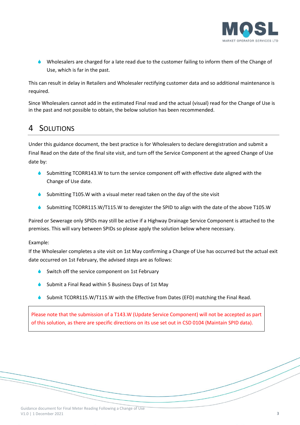

 Wholesalers are charged for a late read due to the customer failing to inform them of the Change of Use, which is far in the past.

This can result in delay in Retailers and Wholesaler rectifying customer data and so additional maintenance is required.

Since Wholesalers cannot add in the estimated Final read and the actual (visual) read for the Change of Use is in the past and not possible to obtain, the below solution has been recommended.

## 4 SOLUTIONS

Under this guidance document, the best practice is for Wholesalers to declare deregistration and submit a Final Read on the date of the final site visit, and turn off the Service Component at the agreed Change of Use date by:

- Submitting TCORR143.W to turn the service component off with effective date aligned with the Change of Use date.
- Submitting T105.W with a visual meter read taken on the day of the site visit
- Submitting TCORR115.W/T115.W to deregister the SPID to align with the date of the above T105.W

Paired or Sewerage only SPIDs may still be active if a Highway Drainage Service Component is attached to the premises. This will vary between SPIDs so please apply the solution below where necessary.

#### Example:

If the Wholesaler completes a site visit on 1st May confirming a Change of Use has occurred but the actual exit date occurred on 1st February, the advised steps are as follows:

- Switch off the service component on 1st February
- Submit a Final Read within 5 Business Days of 1st May
- Submit TCORR115.W/T115.W with the Effective from Dates (EFD) matching the Final Read.

Please note that the submission of a T143.W (Update Service Component) will not be accepted as part of this solution, as there are specific directions on its use set out in CSD 0104 (Maintain SPID data).